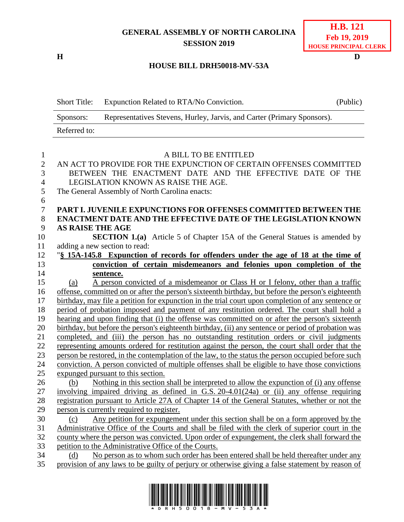# **GENERAL ASSEMBLY OF NORTH CAROLINA SESSION 2019**

**H D**

## **H.B. 121 Feb 19, 2019 HOUSE PRINCIPAL CLERK**

## **HOUSE BILL DRH50018-MV-53A**

|                  | <b>Short Title:</b>                                                                                 | Expunction Related to RTA/No Conviction.                                                           | (Public) |  |  |
|------------------|-----------------------------------------------------------------------------------------------------|----------------------------------------------------------------------------------------------------|----------|--|--|
|                  | Sponsors:                                                                                           | Representatives Stevens, Hurley, Jarvis, and Carter (Primary Sponsors).                            |          |  |  |
|                  | Referred to:                                                                                        |                                                                                                    |          |  |  |
|                  |                                                                                                     |                                                                                                    |          |  |  |
| $\mathbf{1}$     | A BILL TO BE ENTITLED                                                                               |                                                                                                    |          |  |  |
| $\boldsymbol{2}$ | AN ACT TO PROVIDE FOR THE EXPUNCTION OF CERTAIN OFFENSES COMMITTED                                  |                                                                                                    |          |  |  |
| 3                | BETWEEN THE ENACTMENT DATE AND THE EFFECTIVE DATE OF THE                                            |                                                                                                    |          |  |  |
| $\overline{4}$   | LEGISLATION KNOWN AS RAISE THE AGE.                                                                 |                                                                                                    |          |  |  |
| 5                | The General Assembly of North Carolina enacts:                                                      |                                                                                                    |          |  |  |
| 6                |                                                                                                     |                                                                                                    |          |  |  |
| $\tau$           | PART I. JUVENILE EXPUNCTIONS FOR OFFENSES COMMITTED BETWEEN THE                                     |                                                                                                    |          |  |  |
| 8                | <b>ENACTMENT DATE AND THE EFFECTIVE DATE OF THE LEGISLATION KNOWN</b>                               |                                                                                                    |          |  |  |
| 9                | <b>AS RAISE THE AGE</b>                                                                             |                                                                                                    |          |  |  |
| 10               | <b>SECTION 1.(a)</b> Article 5 of Chapter 15A of the General Statues is amended by                  |                                                                                                    |          |  |  |
| 11               |                                                                                                     | adding a new section to read:                                                                      |          |  |  |
| 12               |                                                                                                     | "\\$ 15A-145.8 Expunction of records for offenders under the age of 18 at the time of              |          |  |  |
| 13               | conviction of certain misdemeanors and felonies upon completion of the                              |                                                                                                    |          |  |  |
| 14               |                                                                                                     | sentence.                                                                                          |          |  |  |
| 15               | (a)                                                                                                 | A person convicted of a misdemeanor or Class H or I felony, other than a traffic                   |          |  |  |
| 16               |                                                                                                     | offense, committed on or after the person's sixteenth birthday, but before the person's eighteenth |          |  |  |
| 17               | birthday, may file a petition for expunction in the trial court upon completion of any sentence or  |                                                                                                    |          |  |  |
| 18               | period of probation imposed and payment of any restitution ordered. The court shall hold a          |                                                                                                    |          |  |  |
| 19               | hearing and upon finding that (i) the offense was committed on or after the person's sixteenth      |                                                                                                    |          |  |  |
| 20               | birthday, but before the person's eighteenth birthday, (ii) any sentence or period of probation was |                                                                                                    |          |  |  |
| 21               | completed, and (iii) the person has no outstanding restitution orders or civil judgments            |                                                                                                    |          |  |  |
| 22               | representing amounts ordered for restitution against the person, the court shall order that the     |                                                                                                    |          |  |  |
| 23               | person be restored, in the contemplation of the law, to the status the person occupied before such  |                                                                                                    |          |  |  |
| 24               | conviction. A person convicted of multiple offenses shall be eligible to have those convictions     |                                                                                                    |          |  |  |
| 25               | expunged pursuant to this section.                                                                  |                                                                                                    |          |  |  |
| 26               | (b)                                                                                                 | Nothing in this section shall be interpreted to allow the expunction of (i) any offense            |          |  |  |
| 27               |                                                                                                     | involving impaired driving as defined in G.S. 20-4.01(24a) or (ii) any offense requiring           |          |  |  |
| 28               | registration pursuant to Article 27A of Chapter 14 of the General Statutes, whether or not the      |                                                                                                    |          |  |  |
| 29               | person is currently required to register.                                                           |                                                                                                    |          |  |  |
| 30               | (c)                                                                                                 | Any petition for expungement under this section shall be on a form approved by the                 |          |  |  |
| 31               |                                                                                                     | Administrative Office of the Courts and shall be filed with the clerk of superior court in the     |          |  |  |
| 32               |                                                                                                     | county where the person was convicted. Upon order of expungement, the clerk shall forward the      |          |  |  |
| 33               |                                                                                                     | petition to the Administrative Office of the Courts.                                               |          |  |  |
| 34               | No person as to whom such order has been entered shall be held thereafter under any<br>(d)          |                                                                                                    |          |  |  |
| 35               |                                                                                                     | provision of any laws to be guilty of perjury or otherwise giving a false statement by reason of   |          |  |  |

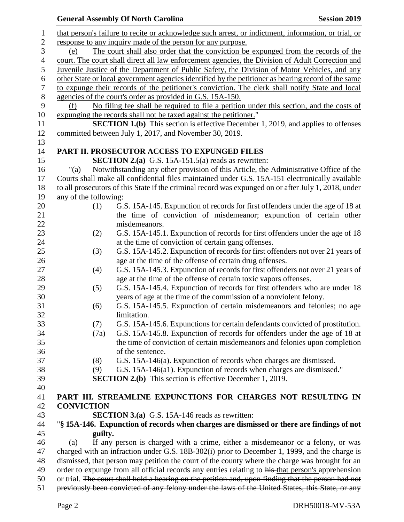|                  |                                                                                                      | <b>Session 2019</b><br><b>General Assembly Of North Carolina</b>                                   |  |  |  |  |
|------------------|------------------------------------------------------------------------------------------------------|----------------------------------------------------------------------------------------------------|--|--|--|--|
| $\mathbf{1}$     | that person's failure to recite or acknowledge such arrest, or indictment, information, or trial, or |                                                                                                    |  |  |  |  |
| $\overline{c}$   | response to any inquiry made of the person for any purpose.                                          |                                                                                                    |  |  |  |  |
| 3                | The court shall also order that the conviction be expunged from the records of the<br>(e)            |                                                                                                    |  |  |  |  |
| $\overline{4}$   | court. The court shall direct all law enforcement agencies, the Division of Adult Correction and     |                                                                                                    |  |  |  |  |
| 5                |                                                                                                      | Juvenile Justice of the Department of Public Safety, the Division of Motor Vehicles, and any       |  |  |  |  |
| 6                | other State or local government agencies identified by the petitioner as bearing record of the same  |                                                                                                    |  |  |  |  |
| $\boldsymbol{7}$ | to expunge their records of the petitioner's conviction. The clerk shall notify State and local      |                                                                                                    |  |  |  |  |
| $\,8\,$          | agencies of the court's order as provided in G.S. 15A-150.                                           |                                                                                                    |  |  |  |  |
| 9                | (f)                                                                                                  | No filing fee shall be required to file a petition under this section, and the costs of            |  |  |  |  |
| 10               |                                                                                                      | expunging the records shall not be taxed against the petitioner."                                  |  |  |  |  |
| 11               | <b>SECTION 1.(b)</b> This section is effective December 1, 2019, and applies to offenses             |                                                                                                    |  |  |  |  |
| 12               |                                                                                                      | committed between July 1, 2017, and November 30, 2019.                                             |  |  |  |  |
| 13               |                                                                                                      |                                                                                                    |  |  |  |  |
| 14               |                                                                                                      | PART II. PROSECUTOR ACCESS TO EXPUNGED FILES                                                       |  |  |  |  |
| 15               |                                                                                                      | <b>SECTION 2.(a)</b> G.S. 15A-151.5(a) reads as rewritten:                                         |  |  |  |  |
| 16               | " $(a)$                                                                                              | Notwithstanding any other provision of this Article, the Administrative Office of the              |  |  |  |  |
| 17               |                                                                                                      |                                                                                                    |  |  |  |  |
|                  | Courts shall make all confidential files maintained under G.S. 15A-151 electronically available      |                                                                                                    |  |  |  |  |
| 18               | to all prosecutors of this State if the criminal record was expunged on or after July 1, 2018, under |                                                                                                    |  |  |  |  |
| 19               | any of the following:                                                                                |                                                                                                    |  |  |  |  |
| 20               | (1)                                                                                                  | G.S. 15A-145. Expunction of records for first offenders under the age of 18 at                     |  |  |  |  |
| 21               |                                                                                                      | the time of conviction of misdemeanor; expunction of certain other                                 |  |  |  |  |
| 22               |                                                                                                      | misdemeanors.                                                                                      |  |  |  |  |
| 23               | (2)                                                                                                  | G.S. 15A-145.1. Expunction of records for first offenders under the age of 18                      |  |  |  |  |
| 24               |                                                                                                      | at the time of conviction of certain gang offenses.                                                |  |  |  |  |
| 25               | (3)                                                                                                  | G.S. 15A-145.2. Expunction of records for first offenders not over 21 years of                     |  |  |  |  |
| 26               |                                                                                                      | age at the time of the offense of certain drug offenses.                                           |  |  |  |  |
| 27               | (4)                                                                                                  | G.S. 15A-145.3. Expunction of records for first offenders not over 21 years of                     |  |  |  |  |
| 28               |                                                                                                      | age at the time of the offense of certain toxic vapors offenses.                                   |  |  |  |  |
| 29               | (5)                                                                                                  | G.S. 15A-145.4. Expunction of records for first offenders who are under 18                         |  |  |  |  |
| 30               |                                                                                                      | years of age at the time of the commission of a nonviolent felony.                                 |  |  |  |  |
| 31               | (6)                                                                                                  | G.S. 15A-145.5. Expunction of certain misdemeanors and felonies; no age                            |  |  |  |  |
| 32               |                                                                                                      | limitation.                                                                                        |  |  |  |  |
| 33               | (7)                                                                                                  | G.S. 15A-145.6. Expunctions for certain defendants convicted of prostitution.                      |  |  |  |  |
| 34               | (7a)                                                                                                 | G.S. 15A-145.8. Expunction of records for offenders under the age of 18 at                         |  |  |  |  |
| 35               |                                                                                                      | the time of conviction of certain misdemeanors and felonies upon completion                        |  |  |  |  |
| 36               |                                                                                                      | of the sentence.                                                                                   |  |  |  |  |
| 37               | (8)                                                                                                  | G.S. 15A-146(a). Expunction of records when charges are dismissed.                                 |  |  |  |  |
| 38               | (9)                                                                                                  | G.S. 15A-146(a1). Expunction of records when charges are dismissed."                               |  |  |  |  |
| 39               |                                                                                                      | <b>SECTION 2.(b)</b> This section is effective December 1, 2019.                                   |  |  |  |  |
| 40               |                                                                                                      |                                                                                                    |  |  |  |  |
| 41               |                                                                                                      | PART III. STREAMLINE EXPUNCTIONS FOR CHARGES NOT RESULTING IN                                      |  |  |  |  |
| 42               | <b>CONVICTION</b>                                                                                    |                                                                                                    |  |  |  |  |
| 43               |                                                                                                      | <b>SECTION 3.(a)</b> G.S. 15A-146 reads as rewritten:                                              |  |  |  |  |
| 44               |                                                                                                      | "§ 15A-146. Expunction of records when charges are dismissed or there are findings of not          |  |  |  |  |
| 45               | guilty.                                                                                              |                                                                                                    |  |  |  |  |
| 46               | If any person is charged with a crime, either a misdemeanor or a felony, or was<br>(a)               |                                                                                                    |  |  |  |  |
| 47               | charged with an infraction under G.S. 18B-302(i) prior to December 1, 1999, and the charge is        |                                                                                                    |  |  |  |  |
| 48               | dismissed, that person may petition the court of the county where the charge was brought for an      |                                                                                                    |  |  |  |  |
| 49               |                                                                                                      | order to expunge from all official records any entries relating to his that person's apprehension  |  |  |  |  |
| 50               |                                                                                                      | or trial. The court shall hold a hearing on the petition and, upon finding that the person had not |  |  |  |  |
| 51               | previously been convicted of any felony under the laws of the United States, this State, or any      |                                                                                                    |  |  |  |  |